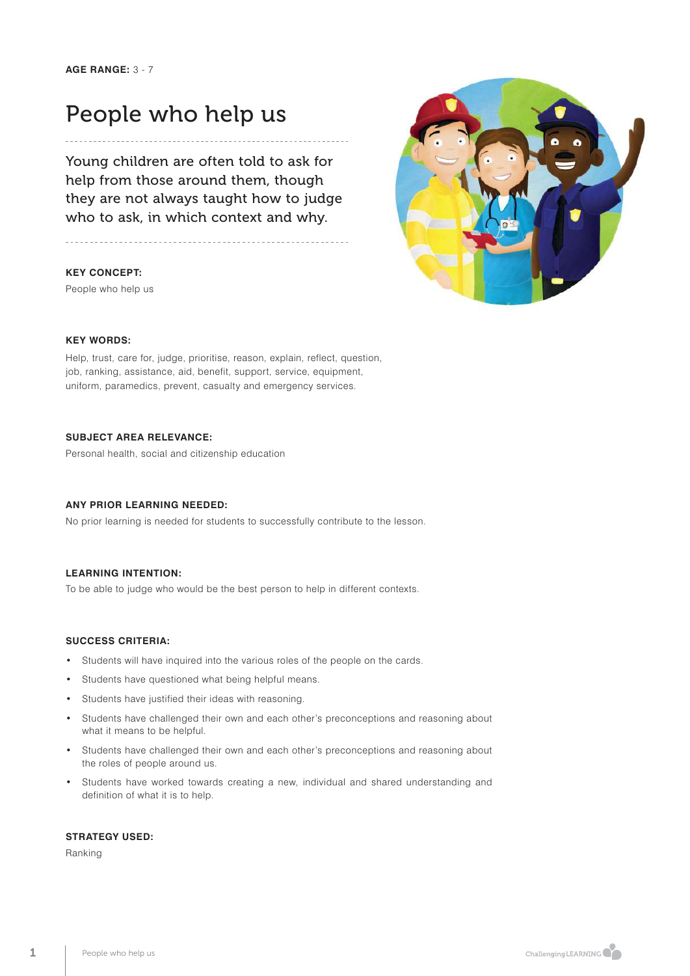# People who help us

Young children are often told to ask for help from those around them, though they are not always taught how to judge who to ask, in which context and why.

#### **KEY CONCEPT:**

People who help us



#### **KEY WORDS:**

Help, trust, care for, judge, prioritise, reason, explain, reflect, question, job, ranking, assistance, aid, benefit, support, service, equipment, uniform, paramedics, prevent, casualty and emergency services.

### **SUBJECT AREA RELEVANCE:**

Personal health, social and citizenship education

### **ANY PRIOR LEARNING NEEDED:**

No prior learning is needed for students to successfully contribute to the lesson.

#### **LEARNING INTENTION:**

To be able to judge who would be the best person to help in different contexts.

### **SUCCESS CRITERIA:**

- Students will have inquired into the various roles of the people on the cards.
- Students have questioned what being helpful means.
- Students have justified their ideas with reasoning.
- Students have challenged their own and each other's preconceptions and reasoning about what it means to be helpful.
- Students have challenged their own and each other's preconceptions and reasoning about the roles of people around us.
- Students have worked towards creating a new, individual and shared understanding and definition of what it is to help.

### **STRATEGY USED:**

Ranking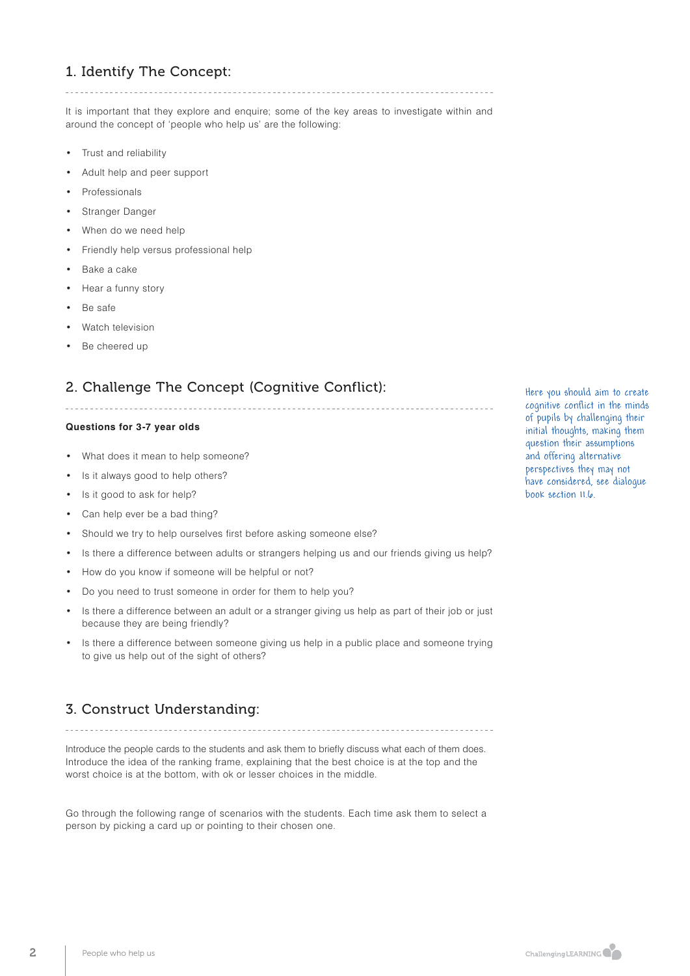# 1. Identify The Concept:

It is important that they explore and enquire; some of the key areas to investigate within and around the concept of 'people who help us' are the following:

- Trust and reliability
- Adult help and peer support
- **Professionals**
- Stranger Danger
- When do we need help
- Friendly help versus professional help
- Bake a cake
- Hear a funny story
- Be safe
- Watch television
- Be cheered up

# 2. Challenge The Concept (Cognitive Conflict):

### **Questions for 3-7 year olds**

- What does it mean to help someone?
- Is it always good to help others?
- Is it good to ask for help?
- Can help ever be a bad thing?
- Should we try to help ourselves first before asking someone else?
- Is there a difference between adults or strangers helping us and our friends giving us help?
- How do you know if someone will be helpful or not?
- Do you need to trust someone in order for them to help you?
- Is there a difference between an adult or a stranger giving us help as part of their job or just because they are being friendly?
- Is there a difference between someone giving us help in a public place and someone trying to give us help out of the sight of others?

# 3. Construct Understanding:

Introduce the people cards to the students and ask them to briefly discuss what each of them does. Introduce the idea of the ranking frame, explaining that the best choice is at the top and the worst choice is at the bottom, with ok or lesser choices in the middle.

Go through the following range of scenarios with the students. Each time ask them to select a person by picking a card up or pointing to their chosen one.

Here you should aim to create cognitive conflict in the minds of pupils by challenging their initial thoughts, making them question their assumptions and offering alternative perspectives they may not have considered, see dialogue book section 11.6.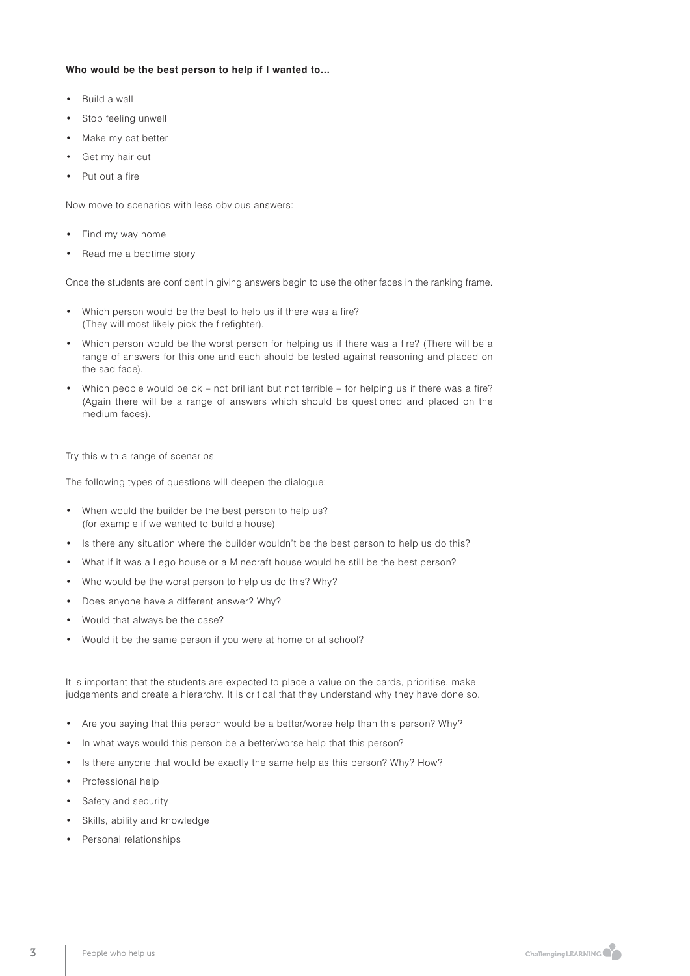### **Who would be the best person to help if I wanted to…**

- Build a wall
- Stop feeling unwell
- Make my cat better
- Get my hair cut
- Put out a fire

Now move to scenarios with less obvious answers:

- Find my way home
- Read me a bedtime story

Once the students are confident in giving answers begin to use the other faces in the ranking frame.

- Which person would be the best to help us if there was a fire? (They will most likely pick the firefighter).
- Which person would be the worst person for helping us if there was a fire? (There will be a range of answers for this one and each should be tested against reasoning and placed on the sad face).
- Which people would be ok not brilliant but not terrible for helping us if there was a fire? (Again there will be a range of answers which should be questioned and placed on the medium faces).

#### Try this with a range of scenarios

The following types of questions will deepen the dialogue:

- When would the builder be the best person to help us? (for example if we wanted to build a house)
- Is there any situation where the builder wouldn't be the best person to help us do this?
- What if it was a Lego house or a Minecraft house would he still be the best person?
- Who would be the worst person to help us do this? Why?
- Does anyone have a different answer? Why?
- Would that always be the case?
- Would it be the same person if you were at home or at school?

It is important that the students are expected to place a value on the cards, prioritise, make judgements and create a hierarchy. It is critical that they understand why they have done so.

- Are you saying that this person would be a better/worse help than this person? Why?
- In what ways would this person be a better/worse help that this person?
- Is there anyone that would be exactly the same help as this person? Why? How?
- Professional help
- Safety and security
- Skills, ability and knowledge
- Personal relationships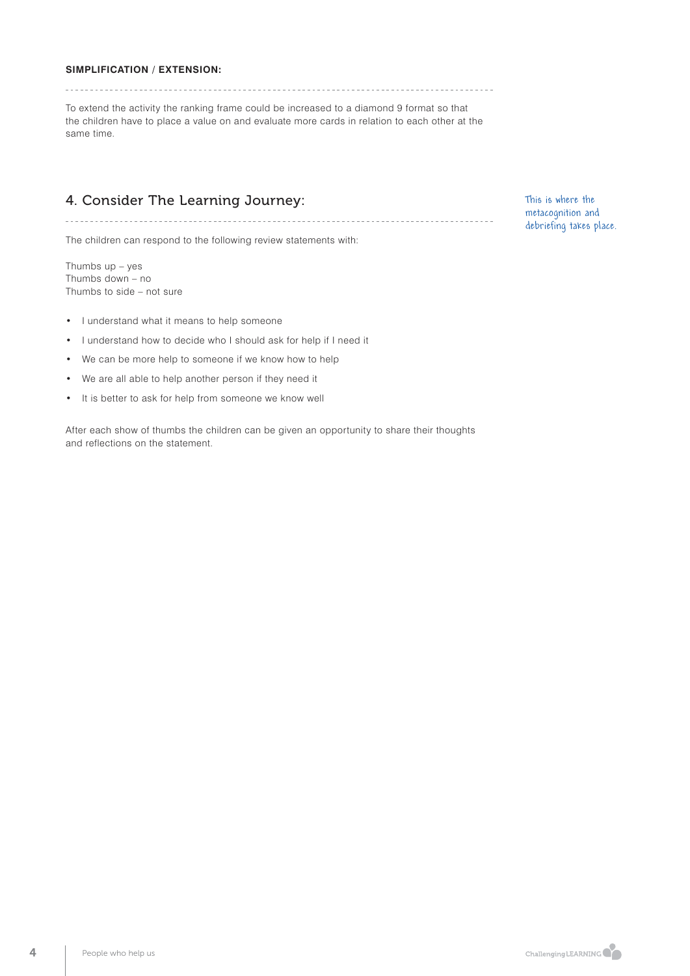### **SIMPLIFICATION / EXTENSION:**

To extend the activity the ranking frame could be increased to a diamond 9 format so that the children have to place a value on and evaluate more cards in relation to each other at the same time.

## 4. Consider The Learning Journey:

The children can respond to the following review statements with:

Thumbs up – yes Thumbs down – no Thumbs to side – not sure

- I understand what it means to help someone
- I understand how to decide who I should ask for help if I need it
- We can be more help to someone if we know how to help
- We are all able to help another person if they need it
- It is better to ask for help from someone we know well

After each show of thumbs the children can be given an opportunity to share their thoughts and reflections on the statement.

This is where the metacognition and debriefing takes place.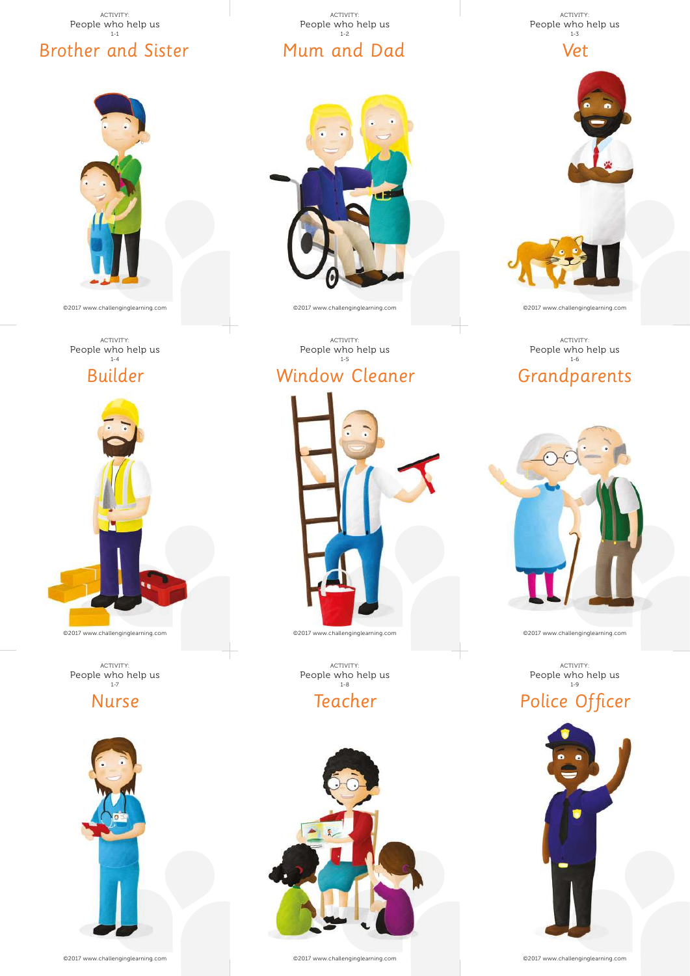

©2017 www.challenginglearning.com

ACTIVITY: People who help us 1-4



ACTIVITY:<br>People who help us<br>1-7

Nurse



©2017 www.challenginglearning.com



©2017 www.challenginglearning.com

ACTIVITY: People who help us 1-5

Window Cleaner

©2017 www.challenginglearning.com

Teacher

ACTIVITY:<br>People who help us<br> $^{1-8}_{\phantom{1-8} }\,$ 

ACTIVITY:<br>People who help us<br><sup>1-3</sup>





©2017 www.challenginglearning.com

Grandparents ACTIVITY: People who help us 1-6



©2017 www.challenginglearning.com

ACTIVITY:<br>People who help us

Police Officer



©2017 www.challenginglearning.com

©2017 www.challenginglearning.com